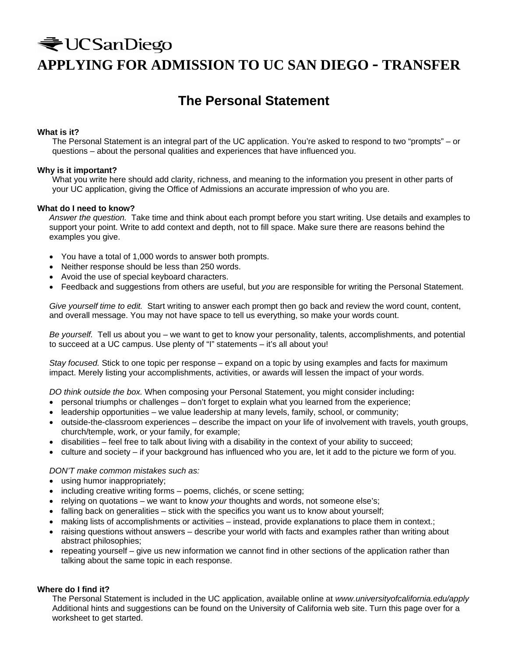# ₹UCSanDiego **APPLYING FOR ADMISSION TO UC SAN DIEGO - TRANSFER**

## **The Personal Statement**

#### **What is it?**

The Personal Statement is an integral part of the UC application. You're asked to respond to two "prompts" – or questions – about the personal qualities and experiences that have influenced you.

#### **Why is it important?**

What you write here should add clarity, richness, and meaning to the information you present in other parts of your UC application, giving the Office of Admissions an accurate impression of who you are.

#### **What do I need to know?**

*Answer the question.* Take time and think about each prompt before you start writing. Use details and examples to support your point. Write to add context and depth, not to fill space. Make sure there are reasons behind the examples you give.

- You have a total of 1,000 words to answer both prompts.
- Neither response should be less than 250 words.
- Avoid the use of special keyboard characters.
- Feedback and suggestions from others are useful, but *you* are responsible for writing the Personal Statement.

*Give yourself time to edit.*Start writing to answer each prompt then go back and review the word count, content, and overall message. You may not have space to tell us everything, so make your words count.

*Be yourself.*Tell us about you – we want to get to know your personality, talents, accomplishments, and potential to succeed at a UC campus. Use plenty of "I" statements – it's all about you!

*Stay focused.* Stick to one topic per response – expand on a topic by using examples and facts for maximum impact. Merely listing your accomplishments, activities, or awards will lessen the impact of your words.

*DO think outside the box.* When composing your Personal Statement, you might consider including**:** 

- personal triumphs or challenges don't forget to explain what you learned from the experience;
- leadership opportunities we value leadership at many levels, family, school, or community;
- outside-the-classroom experiences describe the impact on your life of involvement with travels, youth groups, church/temple, work, or your family, for example;
- disabilities feel free to talk about living with a disability in the context of your ability to succeed;
- culture and society if your background has influenced who you are, let it add to the picture we form of you.

#### *DON'T make common mistakes such as:*

- using humor inappropriately;
- including creative writing forms poems, clichés, or scene setting;
- relying on quotations we want to know *your* thoughts and words, not someone else's;
- falling back on generalities stick with the specifics you want us to know about yourself;
- making lists of accomplishments or activities instead, provide explanations to place them in context.;
- raising questions without answers describe your world with facts and examples rather than writing about abstract philosophies;
- repeating yourself give us new information we cannot find in other sections of the application rather than talking about the same topic in each response.

#### **Where do I find it?**

The Personal Statement is included in the UC application, available online at *www.universityofcalifornia.edu/apply*  Additional hints and suggestions can be found on the University of California web site. Turn this page over for a worksheet to get started.